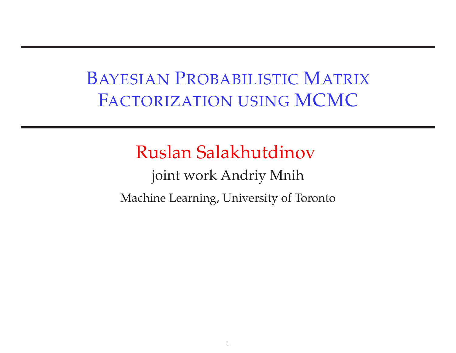#### BAYESIAN <sup>P</sup>ROBABILISTIC <sup>M</sup>ATRIX <sup>F</sup>ACTORIZATION USING MCMC

#### Ruslan Salakhutdinov

joint work Andriy Mnih Machine Learning, University of Toronto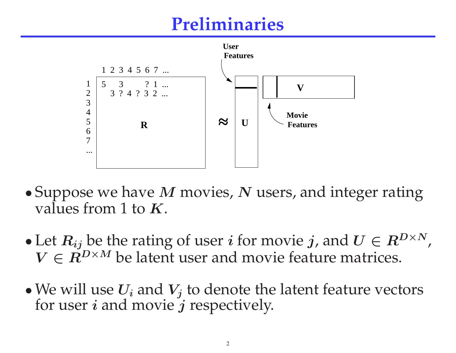# **Preliminaries**



- $\bullet$ • Suppose we have  $M$  movies,  $N$  users, and integer rating values from 1 to  $K$ . values from 1 to  $K$ .
- $\bullet$ • Let  $R_{ij}$  be the rating of user *i* for movie *j*, and  $U \in R^{D \times N}$ ,  $V \in R^{D \times M}$  be latent user and movie feature matrices.  $V \in R^{D \times M}$  be latent user and movie feature matrices.
- $\bullet$ • We will use  $U_i$  and  $V_j$  to denote the latent feature vectors for user *i* and movie *i* respectively. for user  $i$  and movie  $j$  respectively.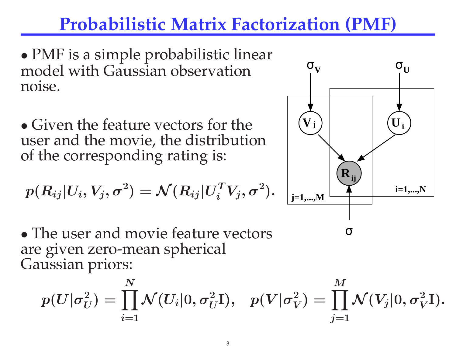# **Probabilistic Matrix Factorization (PMF)**

 $\bullet$ • PMF is a simple probabilistic linear<br>model with Gaussian observation model with Gaussian observation noise.

• Given the feature vectors for the • Given the feature vectors for the<br>user and the movie, the distributio user and the movie, the distribution<br>of the corresponding rating is: of the corresponding rating is:

$$
p(R_{ij}|U_i,V_j,\sigma^2) = \mathcal{N}(R_{ij}|U_i^TV_j,\sigma^2).
$$

 $\bullet$ • The user and movie feature vectors<br>are given zero-mean spherical are <sup>g</sup>iven zero-mean spherical Gaussian priors:

$$
p(U|\sigma^2_U) = \prod_{i=1}^N \mathcal{N}(U_i|0,\sigma^2_U \mathrm{I}), \hspace{0.3cm} p(V|\sigma^2_V) = \prod_{j=1}^M \mathcal{N}(V_j|0,\sigma^2_V \mathrm{I}).
$$



σ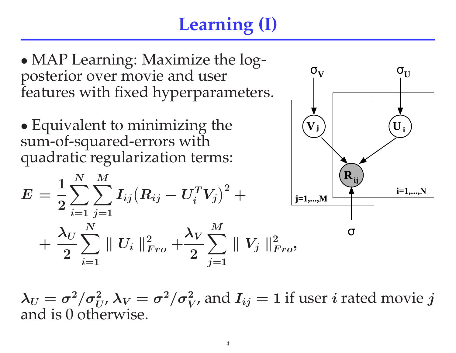# **Learning (I)**

 $\bullet$ • MAP Learning: Maximize the log-<br>posterior over movie and user posterior over movie and user features with fixed hyperparameters.

 $\bullet$ • Equivalent to minimizing the<br>sum-of-squared-errors with sum-of-squared-errors with quadratic regularization terms:

$$
E = \frac{1}{2}\sum_{i=1}^N\sum_{j=1}^M I_{ij} (R_{ij} - U_i^T V_j)^2 + \\ + \frac{\lambda_U}{2}\sum_{i=1}^N \|U_i\|_{Fro}^2 + \frac{\lambda_V}{2}\sum_{j=1}^M \|V_j\|_{Fro}^2,
$$



 $\lambda_U =$  $\sigma^2/\sigma_U^2$ ,  $\lambda_V = \sigma^2/\sigma_V^2$ , and  $I_{ij} = 1$  if user *i* rated movie *j* is 0 otherwise. and is <sup>0</sup> otherwise.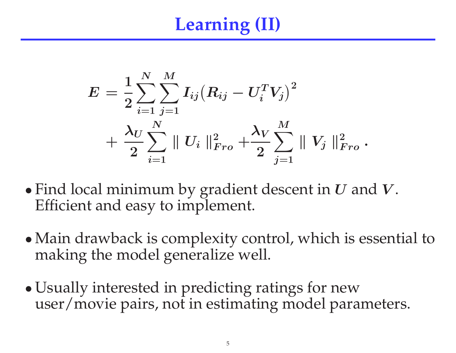# **Learning (II)**

$$
E = \frac{1}{2}\sum_{i=1}^{N}\sum_{j=1}^{M}I_{ij}(R_{ij} - U_i^TV_j)^2 \\ + \frac{\lambda_U}{2}\sum_{i=1}^{N}\parallel U_i \parallel_{Fro}^2 + \frac{\lambda_V}{2}\sum_{j=1}^{M}\parallel V_j \parallel_{Fro}^2.
$$

- $\bullet$ • Find local minimum by gradient descent in  $U$  and  $V$ .<br>Efficient and easy to implement. Efficient and easy to implement.
- $\bullet$ • Main drawback is complexity control, which is essential to making the model generalize well. making the model generalize well.
- $\bullet$ • Usually interested in predicting ratings for new<br>user/movie pairs, not in estimating model para user/movie pairs, not in estimating model parameters.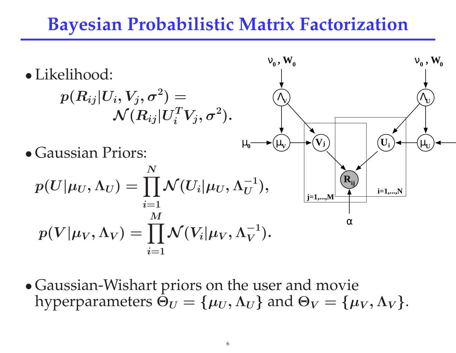#### **Bayesian Probabilistic Matrix Factorization**



 $\bullet$ • Gaussian-Wishart priors on the user and movie hyperparameters  $\Theta_U = \{u_U, \Lambda_U\}$  and  $\Theta_V = \{u$ hyperparameters  $\Theta_U=$  $\{\mu_U$  $\boldsymbol{U, \Lambda}$  $_U$ } and  $\Theta_V=$  $\{\mu_V$  $_{\boldsymbol{V}} , \boldsymbol{\Lambda}$  $_{V}\}.$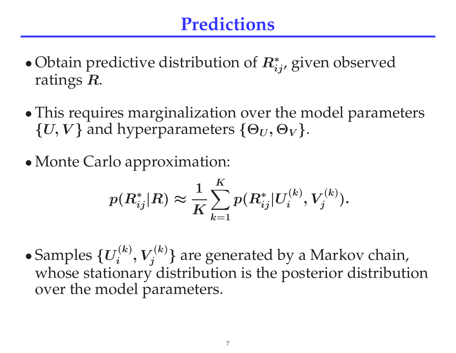# **Predictions**

- $\bullet$ • Obtain predictive distribution of  $R^*_{ij}$ , given observed ratings  $R$ ratings  $\boldsymbol{R}$ .
- $\bullet$ • This requires marginalization over the model parameters  $\{U, V\}$  and hyperparameters  $\{\Theta_{U}, \Theta_{V}\}$ .  $\{U,V\}$  and hyperparameters  $\{\Theta_U,\Theta_V\}.$
- $\bullet$ • Monte Carlo approximation:

$$
p(R^*_{ij}|R) \approx \frac{1}{K}\sum_{k=1}^K p(R^*_{ij}|U_i^{(k)},V_j^{(k)}).
$$

 $\bullet$  $\bullet$  Samples  $\{U_i^{(k)}, V_j^{(k)}\}$  $V_j^{(k)}$ } are generated by a Markov chain,<br>ry distribution is the posterior distributi whose stationary distribution is the posterior distribution over the model parameters.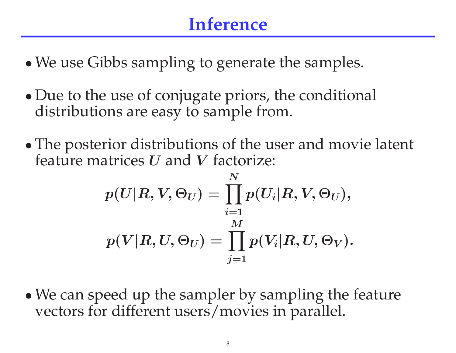# **Inference**

- $\bullet$ We use Gibbs sampling to generate the samples.
- $\bullet$ • Due to the use of conjugate priors, the conditional distributions are easy to sample from. distributions are easy to sample from.
- $\bullet$ • The posterior distributions of the user and movie latent feature matrices  $U$  and  $V$  factorize: feature matrices  $U$  and  $V$  factorize:

$$
p(U|R,V,\Theta_U) = \prod_{i=1}^N p(U_i|R,V,\Theta_U),\\ p(V|R,U,\Theta_U) = \prod_{j=1}^M p(V_i|R,U,\Theta_V).
$$

 $\bullet$ • We can speed up the sampler by sampling the feature vectors for different users/movies in parallel. vectors for different users/movies in parallel.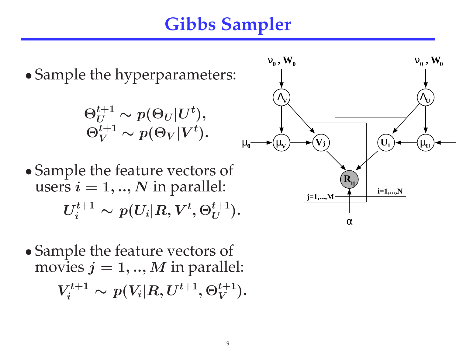# **Gibbs Sampler**



 $\bullet$ • Sample the feature vectors of movies  $i = 1, ..., M$  in paralle movies  $j = 1, ..., M$  in parallel:<br> $\mathbf{x}^{t+1}$  ( $\mathbf{x}^{t+1}$   $\mathbf{x}^{t+1}$   $\mathbf{x}^{t+1}$ )  $V^{t+1}_i \sim p(V_i|R, U^{t+1}, \Theta^{t+1}_V ).$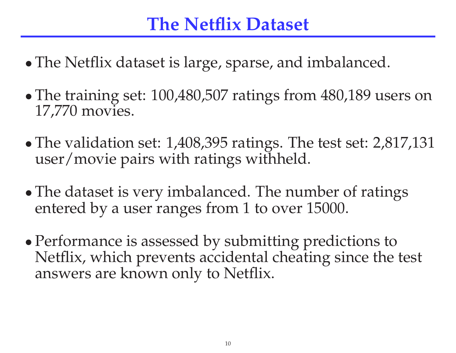#### **The Netflix Dataset**

- $\bullet$ The Netflix dataset is large, sparse, and imbalanced.
- $\bullet$ • The training set: 100,480,507 ratings from 480,189 users on 17.770 movies. 17,770 movies.
- $\bullet$ • The validation set: 1,408,395 ratings. The test set: 2,817,131 user/movie pairs with ratings withheld. user/movie pairs with ratings withheld.
- $\bullet$ • The dataset is very imbalanced. The number of ratings entered by a user ranges from 1 to over 15000. entered by <sup>a</sup> user ranges from <sup>1</sup> to over 15000.
- $\bullet$ • Performance is assessed by submitting predictions to<br>Netflix, which prevents accidental cheating since the Netflix, which prevents accidental cheating since the test answers are known only to Netflix.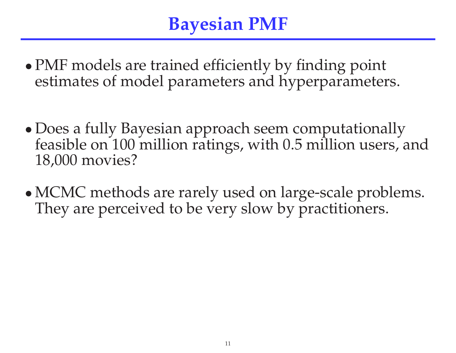# **Bayesian PMF**

- $\bullet$ • PMF models are trained efficiently by finding point estimates of model parameters and hyperparameter estimates of model parameters and hyperparameters.
- $\bullet$ • Does a fully Bayesian approach seem computationally feasible on 100 million ratings, with 0.5 million users, a feasible on <sup>100</sup> million ratings, with 0.5 million users, and 18,000 movies?
- $\bullet$ • MCMC methods are rarely used on large-scale problems.<br>They are perceived to be very slow by practitioners. They are perceived to be very slow by practitioners.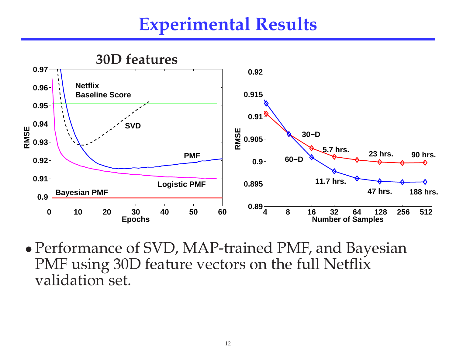# **Experimental Results**



 $\bullet$ • Performance of SVD, MAP-trained PMF, and Bayesian<br>PMF using 30D feature vectors on the full Netflix PMF using 30D feature vectors on the full Netflix validation set.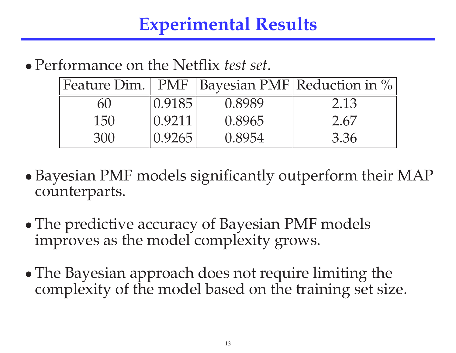#### $\bullet$ Performance on the Netflix *test set*.

|     |        |        | Feature Dim. PMF   Bayesian PMF   Reduction in % |
|-----|--------|--------|--------------------------------------------------|
| 60  | 0.9185 | 0.8989 | 2.13                                             |
| 150 | 0.9211 | 0.8965 | 2.67                                             |
| 300 | 0.9265 | 0.8954 | 3.36                                             |

- $\bullet$ • Bayesian PMF models significantly outperform their MAP counterparts. counterparts.
- $\bullet$ • The predictive accuracy of Bayesian PMF models<br>improves as the model complexity grows. improves as the model complexity grows.
- $\bullet$ • The Bayesian approach does not require limiting the complexity of the model based on the training set size complexity of the model based on the training set size.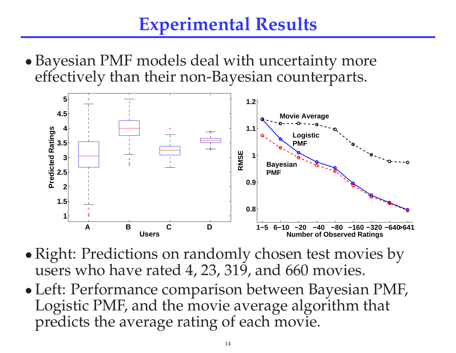# **Experimental Results**

 $\bullet$ • Bayesian PMF models deal with uncertainty more<br>effectively than their non-Bayesian counterparts. effectively than their non-Bayesian counterparts.



- $\bullet$ • Right: Predictions on randomly chosen test movies by<br>users who have rated 4, 23, 319, and 660 movies. users who have rated 4, 23, 319, and <sup>660</sup> movies.
- $\bullet$ • Left: Performance comparison between Bayesian PMF,<br>Logistic PMF, and the movie average algorithm that Logistic PMF, and the movie average algorithm that predicts the average rating of each movie.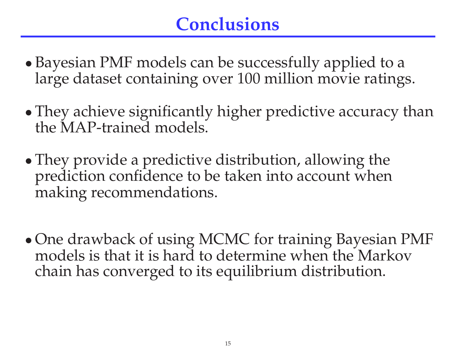# **Conclusions**

- $\bullet$  Bayesian PMF models can be successfully applied to <sup>a</sup> large dataset containing over <sup>100</sup> million movie ratings.
- $\bullet$ • They achieve significantly higher predictive accuracy than the MAP-trained models. the MAP-trained models.
- $\bullet$ • They provide a predictive distribution, allowing the prediction confidence to be taken into account when prediction confidence to be taken into account when making recommendations.
- $\bullet$ • One drawback of using MCMC for training Bayesian PMF models is that it is hard to determine when the Markov models is that it is hard to determine when the Markov chain has converge<sup>d</sup> to its equilibrium distribution.